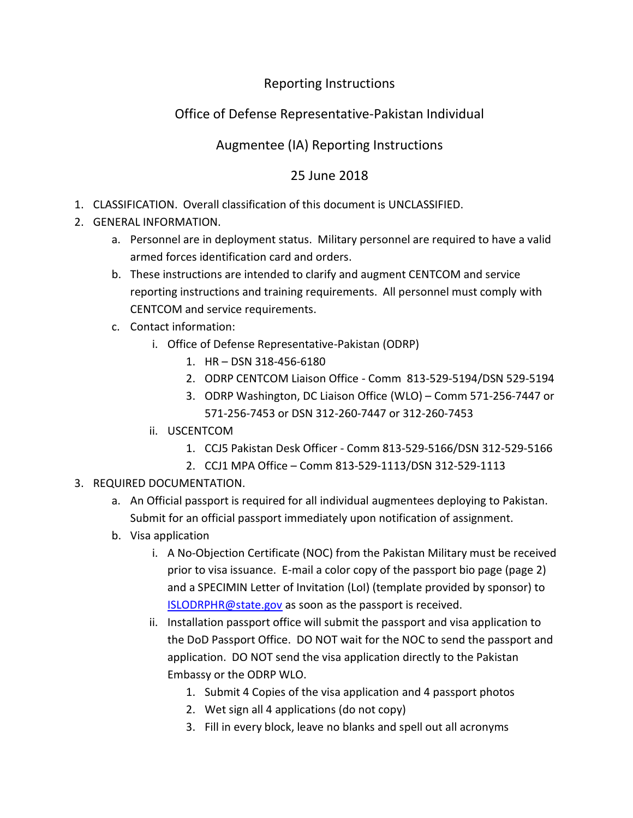### Reporting Instructions

# Office of Defense Representative-Pakistan Individual

## Augmentee (IA) Reporting Instructions

### 25 June 2018

- 1. CLASSIFICATION. Overall classification of this document is UNCLASSIFIED.
- 2. GENERAL INFORMATION.
	- a. Personnel are in deployment status. Military personnel are required to have a valid armed forces identification card and orders.
	- b. These instructions are intended to clarify and augment CENTCOM and service reporting instructions and training requirements. All personnel must comply with CENTCOM and service requirements.
	- c. Contact information:
		- i. Office of Defense Representative-Pakistan (ODRP)
			- 1. HR DSN 318-456-6180
			- 2. ODRP CENTCOM Liaison Office Comm 813-529-5194/DSN 529-5194
			- 3. ODRP Washington, DC Liaison Office (WLO) Comm 571-256-7447 or 571-256-7453 or DSN 312-260-7447 or 312-260-7453
		- ii. USCENTCOM
			- 1. CCJ5 Pakistan Desk Officer Comm 813-529-5166/DSN 312-529-5166
			- 2. CCJ1 MPA Office Comm 813-529-1113/DSN 312-529-1113
- 3. REQUIRED DOCUMENTATION.
	- a. An Official passport is required for all individual augmentees deploying to Pakistan. Submit for an official passport immediately upon notification of assignment.
	- b. Visa application
		- i. A No-Objection Certificate (NOC) from the Pakistan Military must be received prior to visa issuance. E-mail a color copy of the passport bio page (page 2) and a SPECIMIN Letter of Invitation (LoI) (template provided by sponsor) to [ISLODRPHR@state.gov](mailto:ISLODRPHR@state.gov) as soon as the passport is received.
		- ii. Installation passport office will submit the passport and visa application to the DoD Passport Office. DO NOT wait for the NOC to send the passport and application. DO NOT send the visa application directly to the Pakistan Embassy or the ODRP WLO.
			- 1. Submit 4 Copies of the visa application and 4 passport photos
			- 2. Wet sign all 4 applications (do not copy)
			- 3. Fill in every block, leave no blanks and spell out all acronyms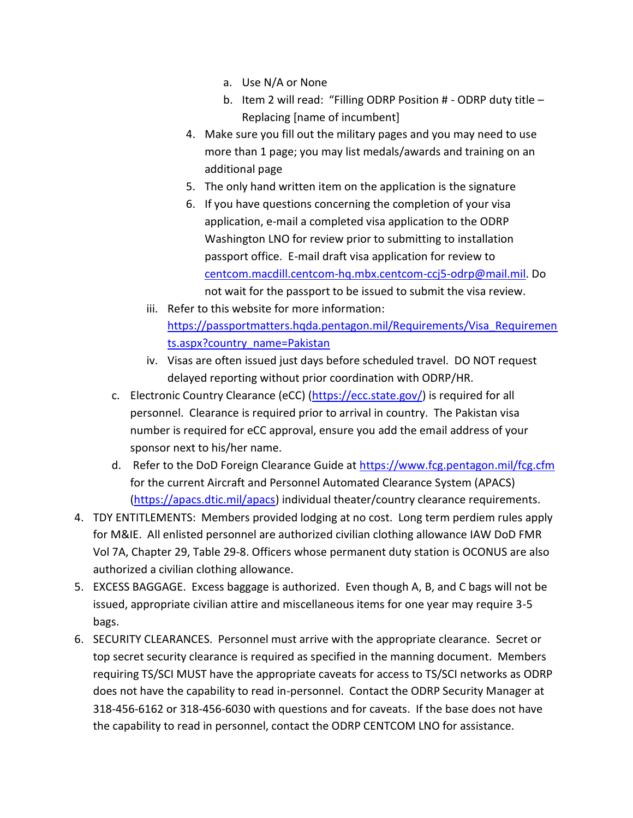- a. Use N/A or None
- b. Item 2 will read: "Filling ODRP Position # ODRP duty title Replacing [name of incumbent]
- 4. Make sure you fill out the military pages and you may need to use more than 1 page; you may list medals/awards and training on an additional page
- 5. The only hand written item on the application is the signature
- 6. If you have questions concerning the completion of your visa application, e-mail a completed visa application to the ODRP Washington LNO for review prior to submitting to installation passport office. E-mail draft visa application for review to [centcom.macdill.centcom-hq.mbx.centcom-ccj5-odrp@mail.mil.](mailto:centcom.macdill.centcom-hq.mbx.centcom-ccj5-odrp@mail.mil) Do not wait for the passport to be issued to submit the visa review.
- iii. Refer to this website for more information: [https://passportmatters.hqda.pentagon.mil/Requirements/Visa\\_Requiremen](https://passportmatters.hqda.pentagon.mil/Requirements/Visa_Requirements.aspx?country_name=Pakistan) [ts.aspx?country\\_name=Pakistan](https://passportmatters.hqda.pentagon.mil/Requirements/Visa_Requirements.aspx?country_name=Pakistan)
- iv. Visas are often issued just days before scheduled travel. DO NOT request delayed reporting without prior coordination with ODRP/HR.
- c. Electronic Country Clearance (eCC) [\(https://ecc.state.gov/\)](https://ecc.state.gov/) is required for all personnel. Clearance is required prior to arrival in country. The Pakistan visa number is required for eCC approval, ensure you add the email address of your sponsor next to his/her name.
- d. Refer to the DoD Foreign Clearance Guide at<https://www.fcg.pentagon.mil/fcg.cfm> for the current Aircraft and Personnel Automated Clearance System (APACS) [\(https://apacs.dtic.mil/apacs\)](https://apacs.dtic.mil/apacs) individual theater/country clearance requirements.
- 4. TDY ENTITLEMENTS: Members provided lodging at no cost. Long term perdiem rules apply for M&IE. All enlisted personnel are authorized civilian clothing allowance IAW DoD FMR Vol 7A, Chapter 29, Table 29-8. Officers whose permanent duty station is OCONUS are also authorized a civilian clothing allowance.
- 5. EXCESS BAGGAGE. Excess baggage is authorized. Even though A, B, and C bags will not be issued, appropriate civilian attire and miscellaneous items for one year may require 3-5 bags.
- 6. SECURITY CLEARANCES. Personnel must arrive with the appropriate clearance. Secret or top secret security clearance is required as specified in the manning document. Members requiring TS/SCI MUST have the appropriate caveats for access to TS/SCI networks as ODRP does not have the capability to read in-personnel. Contact the ODRP Security Manager at 318-456-6162 or 318-456-6030 with questions and for caveats. If the base does not have the capability to read in personnel, contact the ODRP CENTCOM LNO for assistance.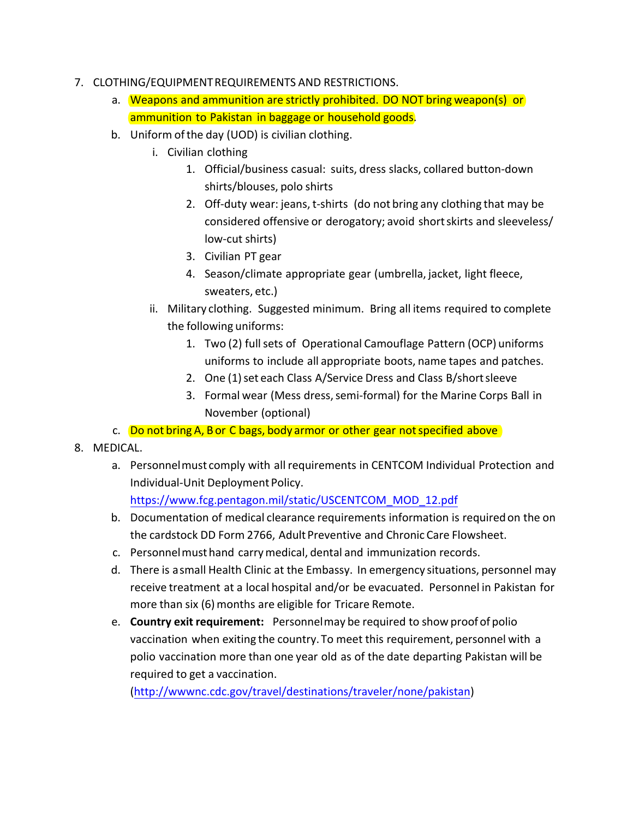- 7. CLOTHING/EQUIPMENT REQUIREMENTS AND RESTRICTIONS.
	- a. Weapons and ammunition are strictly prohibited. DO NOT bring weapon(s) or ammunition to Pakistan in baggage or household goods.
	- b. Uniform of the day (UOD) is civilian clothing.
		- i. Civilian clothing
			- 1. Official/business casual: suits, dress slacks, collared button-down shirts/blouses, polo shirts
			- 2. Off-duty wear: jeans, t-shirts (do not bring any clothing that may be considered offensive or derogatory; avoid short skirts and sleeveless/ low-cut shirts)
			- 3. Civilian PT gear
			- 4. Season/climate appropriate gear (umbrella, jacket, light fleece, sweaters, etc.)
		- ii. Military clothing. Suggested minimum. Bring all items required to complete the following uniforms:
			- 1. Two (2) full sets of Operational Camouflage Pattern (OCP) uniforms uniforms to include all appropriate boots, name tapes and patches.
			- 2. One (1) set each Class A/Service Dress and Class B/short sleeve
			- 3. Formal wear (Mess dress, semi-formal) for the Marine Corps Ball in November (optional)
	- c. Do not bring A, B or C bags, body armor or other gear not specified above
- 8. MEDICAL.
	- a. Personnel must comply with all requirements in CENTCOM Individual Protection and Individual-Unit Deployment Policy.

[https://www.fcg.pentagon.mil/static/USCENTCOM\\_MOD\\_12.pdf](https://www.fcg.pentagon.mil/static/USCENTCOM_MOD_12.pdf)

- b. Documentation of medical clearance requirements information is required on the on the cardstock DD Form 2766, Adult Preventive and Chronic Care Flowsheet.
- c. Personnel must hand carry medical, dental and immunization records.
- d. There is a small Health Clinic at the Embassy. In emergency situations, personnel may receive treatment at a local hospital and/or be evacuated. Personnel in Pakistan for more than six (6) months are eligible for Tricare Remote.
- e. **Country exit requirement:** Personnel may be required to show proof of polio vaccination when exiting the country. To meet this requirement, personnel with a polio vaccination more than one year old as of the date departing Pakistan will be required to get a vaccination.

[\(http://wwwnc.cdc.gov/travel/destinations/traveler/none/pakistan\)](http://wwwnc.cdc.gov/travel/destinations/traveler/none/pakistan)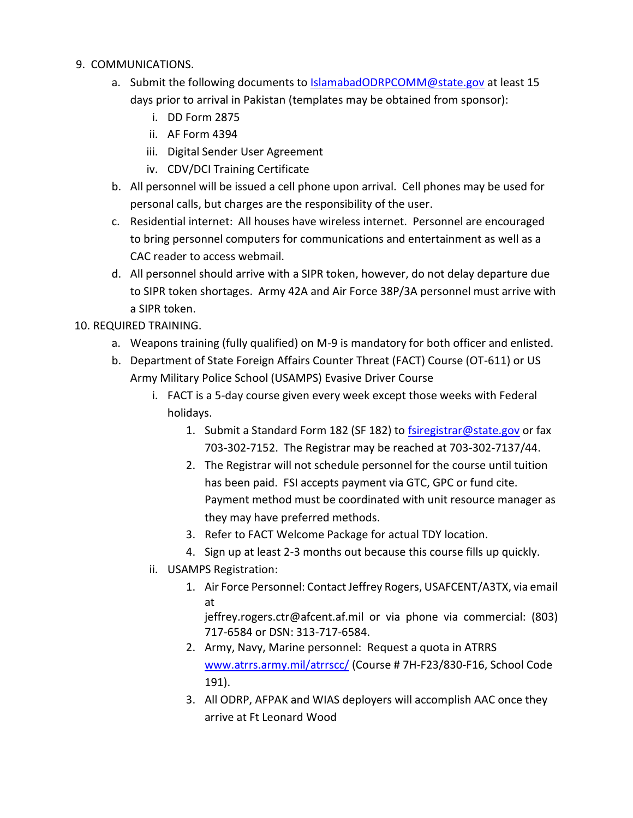- 9. COMMUNICATIONS.
	- a. Submit the following documents to [IslamabadODRPCOMM@state.gov](mailto:IslamabadODRPCOMM@state.gov) at least 15 days prior to arrival in Pakistan (templates may be obtained from sponsor):
		- i. DD Form 2875
		- ii. AF Form 4394
		- iii. Digital Sender User Agreement
		- iv. CDV/DCI Training Certificate
	- b. All personnel will be issued a cell phone upon arrival. Cell phones may be used for personal calls, but charges are the responsibility of the user.
	- c. Residential internet: All houses have wireless internet. Personnel are encouraged to bring personnel computers for communications and entertainment as well as a CAC reader to access webmail.
	- d. All personnel should arrive with a SIPR token, however, do not delay departure due to SIPR token shortages. Army 42A and Air Force 38P/3A personnel must arrive with a SIPR token.

10. REQUIRED TRAINING.

- a. Weapons training (fully qualified) on M-9 is mandatory for both officer and enlisted.
- b. Department of State Foreign Affairs Counter Threat (FACT) Course (OT-611) or US Army Military Police School (USAMPS) Evasive Driver Course
	- i. FACT is a 5-day course given every week except those weeks with Federal holidays.
		- 1. Submit a Standard Form 182 (SF 182) to **fsiregistrar@state.gov** or fax 703-302-7152. The Registrar may be reached at 703-302-7137/44.
		- 2. The Registrar will not schedule personnel for the course until tuition has been paid. FSI accepts payment via GTC, GPC or fund cite. Payment method must be coordinated with unit resource manager as they may have preferred methods.
		- 3. Refer to FACT Welcome Package for actual TDY location.
		- 4. Sign up at least 2-3 months out because this course fills up quickly.
	- ii. USAMPS Registration:
		- 1. Air Force Personnel: Contact Jeffrey Rogers, USAFCENT/A3TX, via email at

jeffrey.rogers.ctr@afcent.af.mil or via phone via commercial: (803) 717-6584 or DSN: 313-717-6584.

- 2. Army, Navy, Marine personnel: Request a quota in ATRRS [www.atrrs.army.mil/atrrscc/](http://www.atrrs.army.mil/atrrscc) (Course # 7H-F23/830-F16, School Code 191).
- 3. All ODRP, AFPAK and WIAS deployers will accomplish AAC once they arrive at Ft Leonard Wood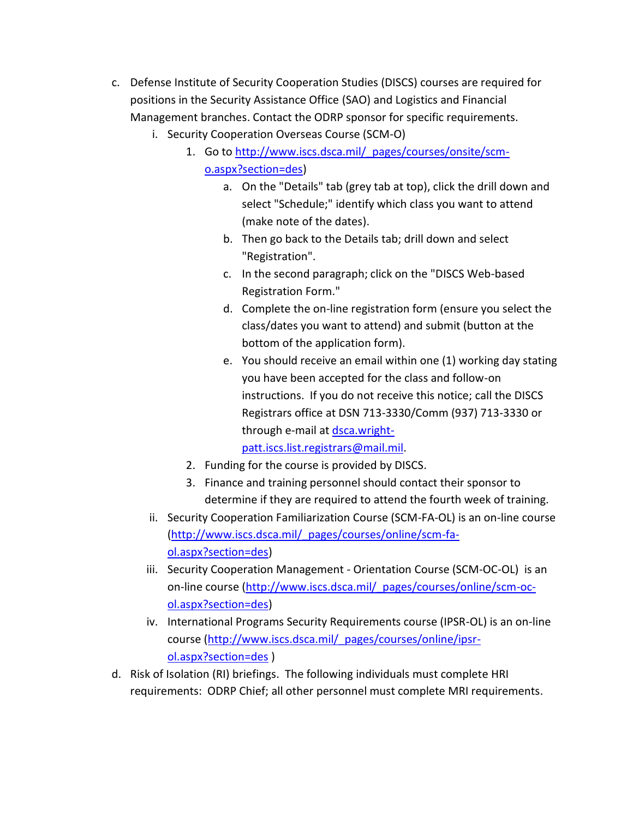- c. Defense Institute of Security Cooperation Studies (DISCS) courses are required for positions in the Security Assistance Office (SAO) and Logistics and Financial Management branches. Contact the ODRP sponsor for specific requirements.
	- i. Security Cooperation Overseas Course (SCM-O)
		- 1. Go to [http://www.iscs.dsca.mil/\\_pages/courses/onsite/scm](http://www.iscs.dsca.mil/_pages/courses/onsite/scm-o.aspx?section=des)[o.aspx?section=des\)](http://www.iscs.dsca.mil/_pages/courses/onsite/scm-o.aspx?section=des)
			- a. On the "Details" tab (grey tab at top), click the drill down and select "Schedule;" identify which class you want to attend (make note of the dates).
			- b. Then go back to the Details tab; drill down and select "Registration".
			- c. In the second paragraph; click on the "DISCS Web-based Registration Form."
			- d. Complete the on-line registration form (ensure you select the class/dates you want to attend) and submit (button at the bottom of the application form).
			- e. You should receive an email within one (1) working day stating you have been accepted for the class and follow-on instructions. If you do not receive this notice; call the DISCS Registrars office at DSN 713-3330/Comm (937) 713-3330 or through e-mail at [dsca.wright](mailto:dsca.wright-patt.iscs.list.registrars@mail.mil)[patt.iscs.list.registrars@mail.mil.](mailto:dsca.wright-patt.iscs.list.registrars@mail.mil)
		- 2. Funding for the course is provided by DISCS.
		- 3. Finance and training personnel should contact their sponsor to determine if they are required to attend the fourth week of training.
	- ii. Security Cooperation Familiarization Course (SCM-FA-OL) is an on-line course [\(http://www.iscs.dsca.mil/\\_pages/courses/online/scm-fa](http://www.iscs.dsca.mil/_pages/courses/online/scm-fa-ol.aspx?section=des)[ol.aspx?section=des\)](http://www.iscs.dsca.mil/_pages/courses/online/scm-fa-ol.aspx?section=des)
	- iii. Security Cooperation Management Orientation Course (SCM-OC-OL) is an on-line course [\(http://www.iscs.dsca.mil/\\_pages/courses/online/scm-oc](http://www.iscs.dsca.mil/_pages/courses/online/scm-oc-ol.aspx?section=des)[ol.aspx?section=des\)](http://www.iscs.dsca.mil/_pages/courses/online/scm-oc-ol.aspx?section=des)
	- iv. International Programs Security Requirements course (IPSR-OL) is an on-line course [\(http://www.iscs.dsca.mil/\\_pages/courses/online/ipsr](http://www.iscs.dsca.mil/_pages/courses/online/ipsr-ol.aspx?section=des)[ol.aspx?section=des](http://www.iscs.dsca.mil/_pages/courses/online/ipsr-ol.aspx?section=des) )
- d. Risk of Isolation (RI) briefings. The following individuals must complete HRI requirements: ODRP Chief; all other personnel must complete MRI requirements.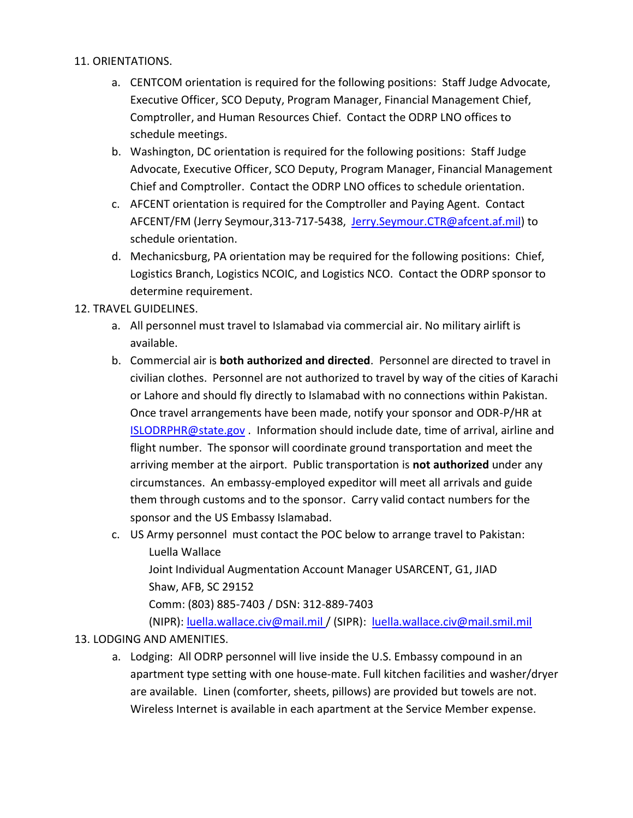#### 11. ORIENTATIONS.

- a. CENTCOM orientation is required for the following positions: Staff Judge Advocate, Executive Officer, SCO Deputy, Program Manager, Financial Management Chief, Comptroller, and Human Resources Chief. Contact the ODRP LNO offices to schedule meetings.
- b. Washington, DC orientation is required for the following positions: Staff Judge Advocate, Executive Officer, SCO Deputy, Program Manager, Financial Management Chief and Comptroller. Contact the ODRP LNO offices to schedule orientation.
- c. AFCENT orientation is required for the Comptroller and Paying Agent. Contact AFCENT/FM (Jerry Seymour, 313-717-5438, [Jerry.Seymour.CTR@afcent.af.mil\)](mailto:Jerry.Seymour.CTR@afcent.af.mil) to schedule orientation.
- d. Mechanicsburg, PA orientation may be required for the following positions: Chief, Logistics Branch, Logistics NCOIC, and Logistics NCO. Contact the ODRP sponsor to determine requirement.

#### 12. TRAVEL GUIDELINES.

- a. All personnel must travel to Islamabad via commercial air. No military airlift is available.
- b. Commercial air is **both authorized and directed**. Personnel are directed to travel in civilian clothes. Personnel are not authorized to travel by way of the cities of Karachi or Lahore and should fly directly to Islamabad with no connections within Pakistan. Once travel arrangements have been made, notify your sponsor and ODR-P/HR at [ISLODRPHR@state.gov](mailto:ISLODRPHR@state.gov) . Information should include date, time of arrival, airline and flight number. The sponsor will coordinate ground transportation and meet the arriving member at the airport. Public transportation is **not authorized** under any circumstances. An embassy-employed expeditor will meet all arrivals and guide them through customs and to the sponsor. Carry valid contact numbers for the sponsor and the US Embassy Islamabad.
- c. US Army personnel must contact the POC below to arrange travel to Pakistan: Luella Wallace Joint Individual Augmentation Account Manager USARCENT, G1, JIAD Shaw, AFB, SC 29152 Comm: (803) 885-7403 / DSN: 312-889-7403 (NIPR): [luella.wallace.civ@mail.mil](mailto:luella.wallace.civ@mail.mil) / (SIPR): [luella.wallace.civ@mail.smil.mil](mailto:luella.wallace.civ@mail.smil.mil)

#### 13. LODGING AND AMENITIES.

a. Lodging: All ODRP personnel will live inside the U.S. Embassy compound in an apartment type setting with one house-mate. Full kitchen facilities and washer/dryer are available. Linen (comforter, sheets, pillows) are provided but towels are not. Wireless Internet is available in each apartment at the Service Member expense.